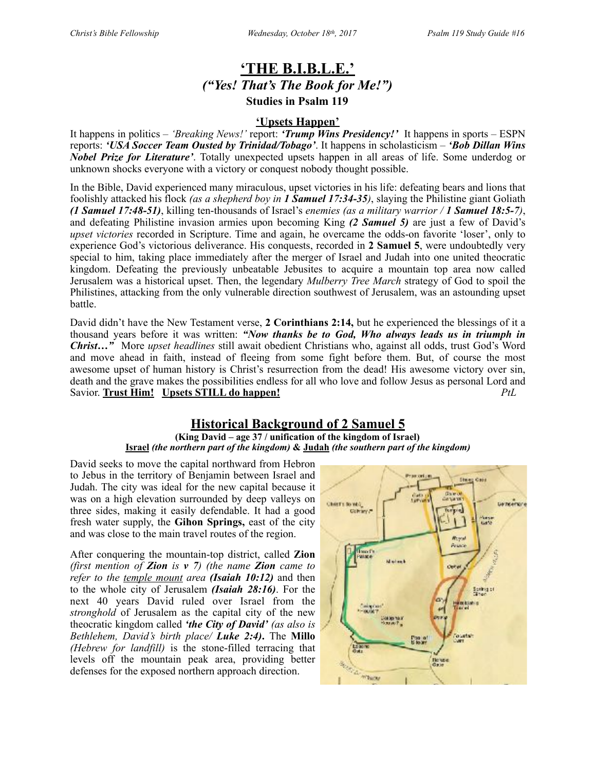# **'THE B.I.B.L.E.'** *("Yes! That's The Book for Me!")*  **Studies in Psalm 119**

#### **'Upsets Happen'**

It happens in politics – *'Breaking News!'* report: *'Trump Wins Presidency!'* It happens in sports – ESPN reports: *'USA Soccer Team Ousted by Trinidad/Tobago'*. It happens in scholasticism – *'Bob Dillan Wins Nobel Prize for Literature'*. Totally unexpected upsets happen in all areas of life. Some underdog or unknown shocks everyone with a victory or conquest nobody thought possible.

In the Bible, David experienced many miraculous, upset victories in his life: defeating bears and lions that foolishly attacked his flock *(as a shepherd boy in 1 Samuel 17:34-35)*, slaying the Philistine giant Goliath *(1 Samuel 17:48-51)*, killing ten-thousands of Israel's *enemies (as a military warrior / 1 Samuel 18:5-7)*, and defeating Philistine invasion armies upon becoming King *(2 Samuel 5)* are just a few of David's *upset victories* recorded in Scripture. Time and again, he overcame the odds-on favorite 'loser', only to experience God's victorious deliverance. His conquests, recorded in **2 Samuel 5**, were undoubtedly very special to him, taking place immediately after the merger of Israel and Judah into one united theocratic kingdom. Defeating the previously unbeatable Jebusites to acquire a mountain top area now called Jerusalem was a historical upset. Then, the legendary *Mulberry Tree March* strategy of God to spoil the Philistines, attacking from the only vulnerable direction southwest of Jerusalem, was an astounding upset battle.

David didn't have the New Testament verse, **2 Corinthians 2:14,** but he experienced the blessings of it a thousand years before it was written: *"Now thanks be to God, Who always leads us in triumph in Christ…"* More *upset headlines* still await obedient Christians who, against all odds, trust God's Word and move ahead in faith, instead of fleeing from some fight before them. But, of course the most awesome upset of human history is Christ's resurrection from the dead! His awesome victory over sin, death and the grave makes the possibilities endless for all who love and follow Jesus as personal Lord and Savior. **Trust Him! Upsets STILL do happen!** *PtL*

## **Historical Background of 2 Samuel 5**

#### **(King David – age 37 / unification of the kingdom of Israel) Israel** *(the northern part of the kingdom)* **& Judah** *(the southern part of the kingdom)*

David seeks to move the capital northward from Hebron to Jebus in the territory of Benjamin between Israel and Judah. The city was ideal for the new capital because it was on a high elevation surrounded by deep valleys on three sides, making it easily defendable. It had a good fresh water supply, the **Gihon Springs,** east of the city and was close to the main travel routes of the region.

After conquering the mountain-top district, called **Zion** *(first mention of Zion is v 7) (the name Zion came to refer to the temple mount area (Isaiah 10:12)* and then to the whole city of Jerusalem *(Isaiah 28:16)*. For the next 40 years David ruled over Israel from the *stronghold* of Jerusalem as the capital city of the new theocratic kingdom called *'the City of David' (as also is Bethlehem, David's birth place/ Luke 2:4)***.** The **Millo** *(Hebrew for landfill)* is the stone-filled terracing that levels off the mountain peak area, providing better defenses for the exposed northern approach direction.